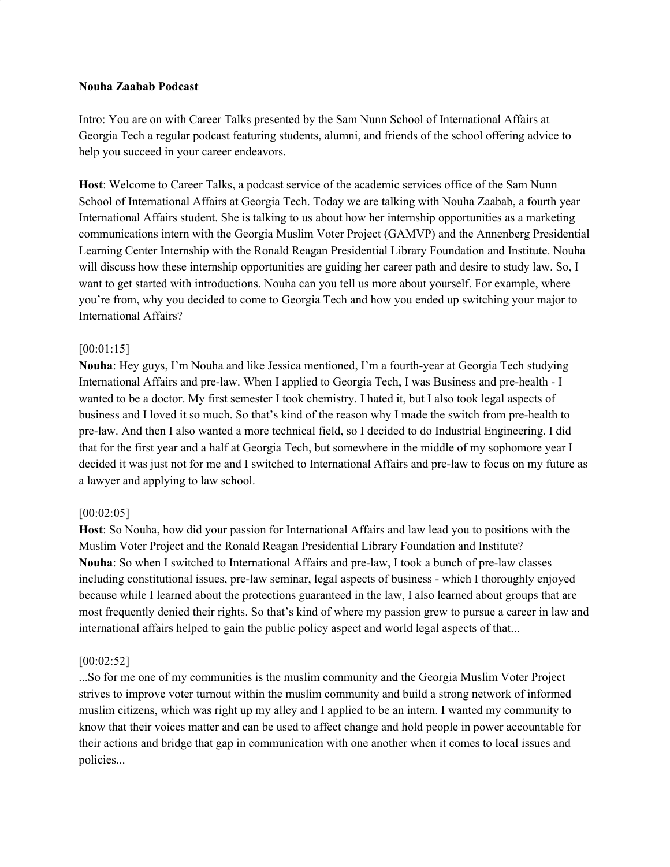#### **Nouha Zaabab Podcast**

Intro: You are on with Career Talks presented by the Sam Nunn School of International Affairs at Georgia Tech a regular podcast featuring students, alumni, and friends of the school offering advice to help you succeed in your career endeavors.

**Host**: Welcome to Career Talks, a podcast service of the academic services office of the Sam Nunn School of International Affairs at Georgia Tech. Today we are talking with Nouha Zaabab, a fourth year International Affairs student. She is talking to us about how her internship opportunities as a marketing communications intern with the Georgia Muslim Voter Project (GAMVP) and the Annenberg Presidential Learning Center Internship with the Ronald Reagan Presidential Library Foundation and Institute. Nouha will discuss how these internship opportunities are guiding her career path and desire to study law. So, I want to get started with introductions. Nouha can you tell us more about yourself. For example, where you're from, why you decided to come to Georgia Tech and how you ended up switching your major to International Affairs?

### [00:01:15]

**Nouha**: Hey guys, I'm Nouha and like Jessica mentioned, I'm a fourth-year at Georgia Tech studying International Affairs and pre-law. When I applied to Georgia Tech, I was Business and pre-health - I wanted to be a doctor. My first semester I took chemistry. I hated it, but I also took legal aspects of business and I loved it so much. So that's kind of the reason why I made the switch from pre-health to pre-law. And then I also wanted a more technical field, so I decided to do Industrial Engineering. I did that for the first year and a half at Georgia Tech, but somewhere in the middle of my sophomore year I decided it was just not for me and I switched to International Affairs and pre-law to focus on my future as a lawyer and applying to law school.

### [00:02:05]

**Host**: So Nouha, how did your passion for International Affairs and law lead you to positions with the Muslim Voter Project and the Ronald Reagan Presidential Library Foundation and Institute? **Nouha**: So when I switched to International Affairs and pre-law, I took a bunch of pre-law classes including constitutional issues, pre-law seminar, legal aspects of business - which I thoroughly enjoyed because while I learned about the protections guaranteed in the law, I also learned about groups that are most frequently denied their rights. So that's kind of where my passion grew to pursue a career in law and international affairs helped to gain the public policy aspect and world legal aspects of that...

#### [00:02:52]

...So for me one of my communities is the muslim community and the Georgia Muslim Voter Project strives to improve voter turnout within the muslim community and build a strong network of informed muslim citizens, which was right up my alley and I applied to be an intern. I wanted my community to know that their voices matter and can be used to affect change and hold people in power accountable for their actions and bridge that gap in communication with one another when it comes to local issues and policies...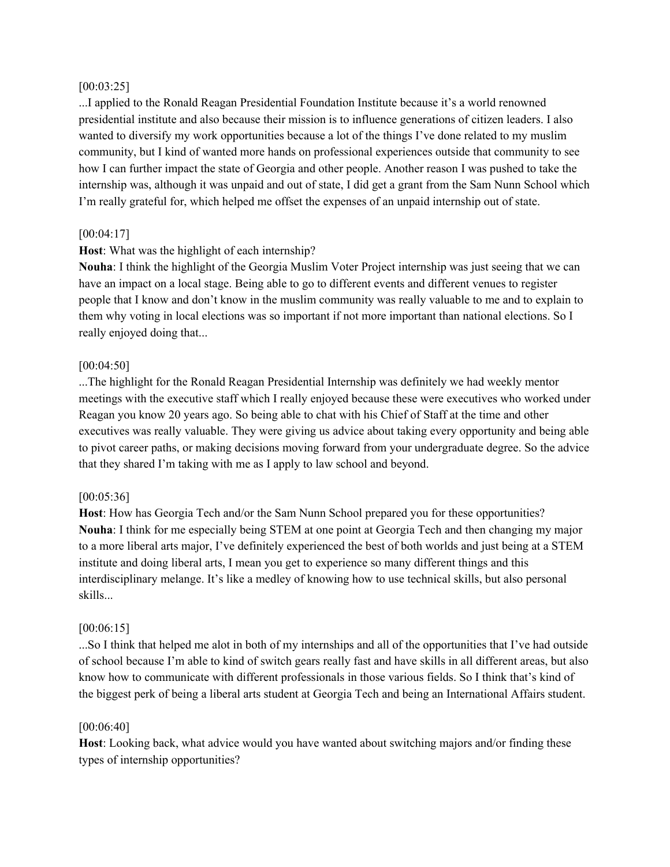### [00:03:25]

...I applied to the Ronald Reagan Presidential Foundation Institute because it's a world renowned presidential institute and also because their mission is to influence generations of citizen leaders. I also wanted to diversify my work opportunities because a lot of the things I've done related to my muslim community, but I kind of wanted more hands on professional experiences outside that community to see how I can further impact the state of Georgia and other people. Another reason I was pushed to take the internship was, although it was unpaid and out of state, I did get a grant from the Sam Nunn School which I'm really grateful for, which helped me offset the expenses of an unpaid internship out of state.

# [00:04:17]

# **Host**: What was the highlight of each internship?

**Nouha**: I think the highlight of the Georgia Muslim Voter Project internship was just seeing that we can have an impact on a local stage. Being able to go to different events and different venues to register people that I know and don't know in the muslim community was really valuable to me and to explain to them why voting in local elections was so important if not more important than national elections. So I really enjoyed doing that...

## [00:04:50]

...The highlight for the Ronald Reagan Presidential Internship was definitely we had weekly mentor meetings with the executive staff which I really enjoyed because these were executives who worked under Reagan you know 20 years ago. So being able to chat with his Chief of Staff at the time and other executives was really valuable. They were giving us advice about taking every opportunity and being able to pivot career paths, or making decisions moving forward from your undergraduate degree. So the advice that they shared I'm taking with me as I apply to law school and beyond.

## [00:05:36]

**Host**: How has Georgia Tech and/or the Sam Nunn School prepared you for these opportunities? **Nouha**: I think for me especially being STEM at one point at Georgia Tech and then changing my major to a more liberal arts major, I've definitely experienced the best of both worlds and just being at a STEM institute and doing liberal arts, I mean you get to experience so many different things and this interdisciplinary melange. It's like a medley of knowing how to use technical skills, but also personal skills...

### [00:06:15]

...So I think that helped me alot in both of my internships and all of the opportunities that I've had outside of school because I'm able to kind of switch gears really fast and have skills in all different areas, but also know how to communicate with different professionals in those various fields. So I think that's kind of the biggest perk of being a liberal arts student at Georgia Tech and being an International Affairs student.

### [00:06:40]

**Host**: Looking back, what advice would you have wanted about switching majors and/or finding these types of internship opportunities?